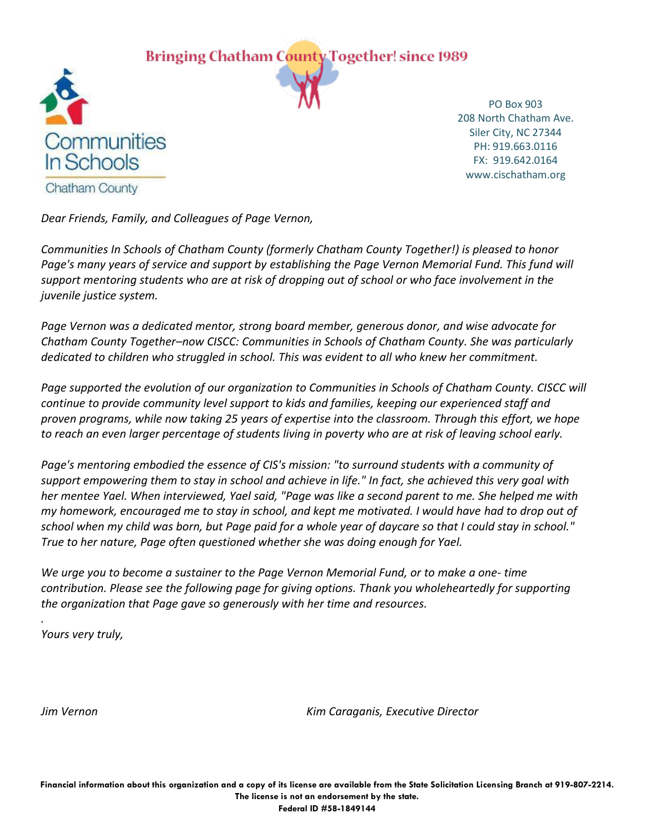**Bringing Chatham County Together! since 1989** 



PO Box 903 208 North Chatham Ave. Siler City, NC 27344 PH: 919.663.0116 FX: 919.642.0164 www.cischatham.org

*Dear Friends, Family, and Colleagues of Page Vernon,*

*Communities In Schools of Chatham County (formerly Chatham County Together!) is pleased to honor*  Page's many years of service and support by establishing the Page Vernon Memorial Fund. This fund will *support mentoring students who are at risk of dropping out of school or who face involvement in the juvenile justice system.*

*Page Vernon was a dedicated mentor, strong board member, generous donor, and wise advocate for Chatham County Together–now CISCC: Communities in Schools of Chatham County. She was particularly dedicated to children who struggled in school. This was evident to all who knew her commitment.*

Page supported the evolution of our organization to Communities in Schools of Chatham County. CISCC will *continue to provide community level support to kids and families, keeping our experienced staff and proven programs, while now taking 25 years of expertise into the classroom. Through this effort, we hope to reach an even larger percentage of students living in poverty who are at risk of leaving school early.*

*Page's mentoring embodied the essence of CIS's mission: "to surround students with a community of support empowering them to stay in school and achieve in life." In fact, she achieved this very goal with her mentee Yael. When interviewed, Yael said, "Page was like a second parent to me. She helped me with my homework, encouraged me to stay in school, and kept me motivated. I would have had to drop out of school when my child was born, but Page paid for a whole year of daycare so that I could stay in school." True to her nature, Page often questioned whether she was doing enough for Yael.* 

*We urge you to become a sustainer to the Page Vernon Memorial Fund, or to make a one- time contribution. Please see the following page for giving options. Thank you wholeheartedly for supporting the organization that Page gave so generously with her time and resources.*

*Yours very truly,*

*.*

*Jim Vernon Kim Caraganis, Executive Director*